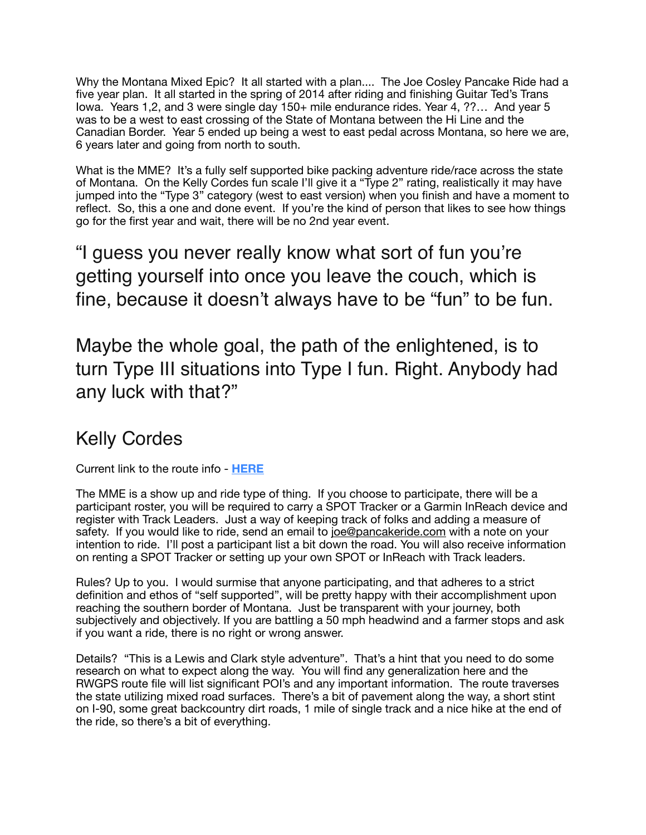Why the Montana Mixed Epic? It all started with a plan.... The Joe Cosley Pancake Ride had a five year plan. It all started in the spring of 2014 after riding and finishing Guitar Ted's Trans Iowa. Years 1,2, and 3 were single day 150+ mile endurance rides. Year 4, ??… And year 5 was to be a west to east crossing of the State of Montana between the Hi Line and the Canadian Border. Year 5 ended up being a west to east pedal across Montana, so here we are, 6 years later and going from north to south.

What is the MME? It's a fully self supported bike packing adventure ride/race across the state of Montana. On the Kelly Cordes fun scale I'll give it a "Type 2" rating, realistically it may have jumped into the "Type 3" category (west to east version) when you finish and have a moment to reflect. So, this a one and done event. If you're the kind of person that likes to see how things go for the first year and wait, there will be no 2nd year event.

"I guess you never really know what sort of fun you're getting yourself into once you leave the couch, which is fine, because it doesn't always have to be "fun" to be fun.

Maybe the whole goal, the path of the enlightened, is to turn Type III situations into Type I fun. Right. Anybody had any luck with that?"

## Kelly Cordes

Current link to the route info - **[HERE](https://ridewithgps.com/routes/38133974/edit?center=46.72957829634536,-113.99454&zoom=6&overlay=satellite)**

The MME is a show up and ride type of thing. If you choose to participate, there will be a participant roster, you will be required to carry a SPOT Tracker or a Garmin InReach device and register with Track Leaders. Just a way of keeping track of folks and adding a measure of safety. If you would like to ride, send an email to [joe@pancakeride.com](mailto:joe@pancakeride.com) with a note on your intention to ride. I'll post a participant list a bit down the road. You will also receive information on renting a SPOT Tracker or setting up your own SPOT or InReach with Track leaders.

Rules? Up to you. I would surmise that anyone participating, and that adheres to a strict definition and ethos of "self supported", will be pretty happy with their accomplishment upon reaching the southern border of Montana. Just be transparent with your journey, both subjectively and objectively. If you are battling a 50 mph headwind and a farmer stops and ask if you want a ride, there is no right or wrong answer.

Details? "This is a Lewis and Clark style adventure". That's a hint that you need to do some research on what to expect along the way. You will find any generalization here and the RWGPS route file will list significant POI's and any important information. The route traverses the state utilizing mixed road surfaces. There's a bit of pavement along the way, a short stint on I-90, some great backcountry dirt roads, 1 mile of single track and a nice hike at the end of the ride, so there's a bit of everything.